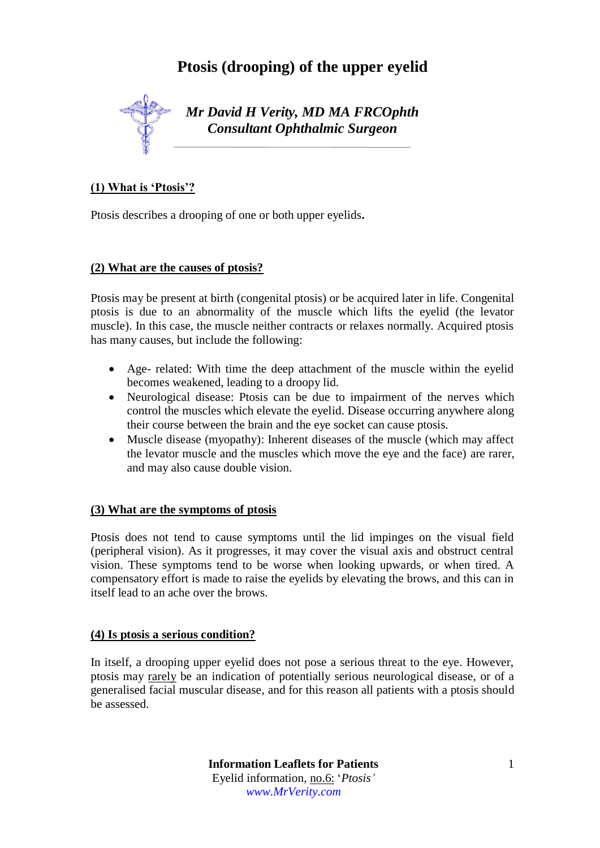# **Ptosis (drooping) of the upper eyelid**



*Mr David H Verity, MD MA FRCOphth Consultant Ophthalmic Surgeon*

## **(1) What is 'Ptosis'?**

Ptosis describes a drooping of one or both upper eyelids**.** 

## **(2) What are the causes of ptosis?**

Ptosis may be present at birth (congenital ptosis) or be acquired later in life. Congenital ptosis is due to an abnormality of the muscle which lifts the eyelid (the levator muscle). In this case, the muscle neither contracts or relaxes normally. Acquired ptosis has many causes, but include the following:

- Age- related: With time the deep attachment of the muscle within the eyelid becomes weakened, leading to a droopy lid.
- Neurological disease: Ptosis can be due to impairment of the nerves which control the muscles which elevate the eyelid. Disease occurring anywhere along their course between the brain and the eye socket can cause ptosis.
- Muscle disease (myopathy): Inherent diseases of the muscle (which may affect the levator muscle and the muscles which move the eye and the face) are rarer, and may also cause double vision.

## **(3) What are the symptoms of ptosis**

Ptosis does not tend to cause symptoms until the lid impinges on the visual field (peripheral vision). As it progresses, it may cover the visual axis and obstruct central vision. These symptoms tend to be worse when looking upwards, or when tired. A compensatory effort is made to raise the eyelids by elevating the brows, and this can in itself lead to an ache over the brows.

#### **(4) Is ptosis a serious condition?**

In itself, a drooping upper eyelid does not pose a serious threat to the eye. However, ptosis may rarely be an indication of potentially serious neurological disease, or of a generalised facial muscular disease, and for this reason all patients with a ptosis should be assessed.

> **Information Leaflets for Patients** Eyelid information, no.6: '*Ptosis' www.MrVerity.com*